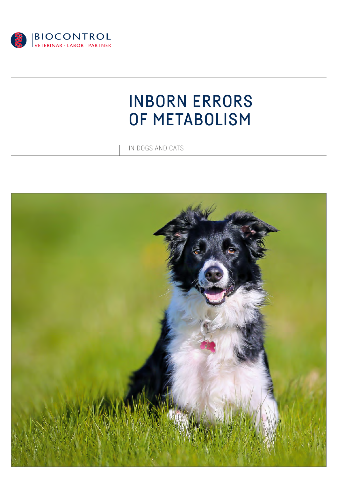

# INBORN ERRORS OF METABOLISM

IN DOGS AND CATS

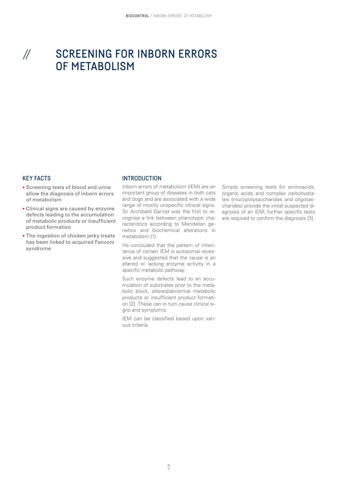## SCREENING FOR INBORN ERRORS OF METABOLISM //

#### KEY FACTS

- Screening tests of blood and urine allow the diagnosis of inborn errors of metabolism
- Clinical signs are caused by enzyme defects leading to the accumulation of metabolic products or insufficient product formation
- The ingestion of chicken jerky treats has been linked to acquired Fanconi syndrome

#### **INTRODUCTION**

Inborn errors of metabolism (IEM) are an important group of diseases in both cats and dogs and are associated with a wide range of mostly unspecific clinical signs. Sir Archibald Garrod was the first to recognise a link between phenotypic characteristics according to Mendelian genetics and biochemical alterations in metabolism [1].

He concluded that the pattern of inheritance of certain IEM is autosomal recessive and suggested that the cause is an altered or lacking enzyme activity in a specific metabolic pathway.

Such enzyme defects lead to an accumulation of substrates prior to the metabolic block, altered/abnormal metabolic products or insufficient product formation [2]. These can in turn cause clinical signs and symptoms.

IEM can be classified based upon various criteria.

Simple screening tests for aminoacids, organic acids and complex carbohydrates (mucopolysaccharides and oligosaccharides) provide the initial suspected diagnosis of an IEM; further specific tests are required to confirm the diagnosis [3].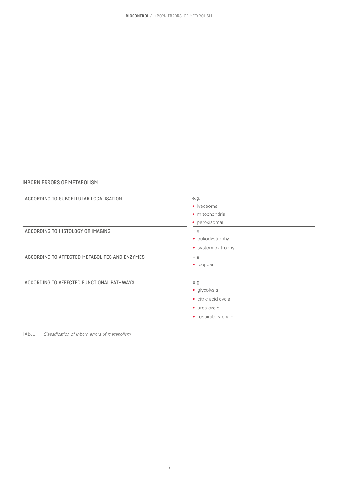| ACCORDING TO SUBCELLULAR LOCALISATION         | e.g.                |
|-----------------------------------------------|---------------------|
|                                               | · lysosomal         |
|                                               | • mitochondrial     |
|                                               | · peroxisomal       |
| ACCORDING TO HISTOLOGY OR IMAGING             | e.g.                |
|                                               | • eukodystrophy     |
|                                               | • systemic atrophy  |
| ACCORDING TO AFFECTED METABOLITES AND ENZYMES | e.g.                |
|                                               | • copper            |
| ACCORDING TO AFFECTED FUNCTIONAL PATHWAYS     | e.g.                |
|                                               | • glycolysis        |
|                                               | • citric acid cycle |
|                                               | • urea cycle        |
|                                               | • respiratory chain |

TAB. 1 *Classification of Inborn errors of metabolism*

INBORN ERRORS OF METABOLISM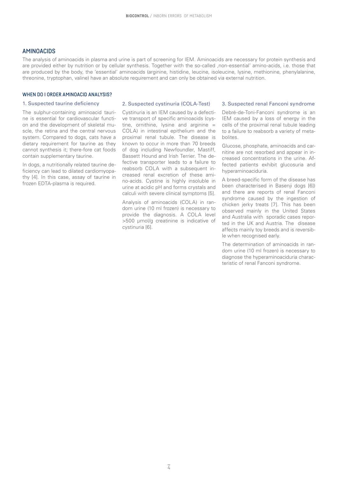#### AMINOACIDS

The analysis of aminoacids in plasma and urine is part of screening for IEM. Aminoacids are necessary for protein synthesis and are provided either by nutrition or by cellular synthesis. Together with the so-called ,non-essential' amino-acids, i.e. those that are produced by the body, the 'essential' aminoacids (arginine, histidine, leucine, isoleucine, lysine, methionine, phenylalanine, threonine, tryptophan, valine) have an absolute requirement and can only be obtained via external nutrition.

#### WHEN DO LORDER AMINOACID ANALYSIS?

#### 1. Suspected taurine deficiency

The sulphur-containing aminoacid taurine is essential for cardiovascular function and the development of skeletal muscle, the retina and the central nervous system. Compared to dogs, cats have a dietary requirement for taurine as they cannot synthesis it; there-fore cat foods contain supplementary taurine.

In dogs, a nutritionally related taurine deficiency can lead to dilated cardiomyopathy [4]. In this case, assay of taurine in frozen EDTA-plasma is required.

#### 2. Suspected cystinuria (COLA-Test)

Cystinuria is an IEM caused by a defective transport of specific aminoacids (cystine, ornithine, lysine and arginine = COLA) in intestinal epithelium and the proximal renal tubule. The disease is known to occur in more than 70 breeds of dog including Newfoundler, Mastiff, Bassett Hound and Irish Terrier. The defective transporter leads to a failure to reabsorb COLA with a subsequent increased renal excretion of these amino-acids. Cystine is highly insoluble in urine at acidic pH and forms crystals and calculi with severe clinical symptoms [5].

Analysis of aminoacids (COLA) in random urine (10 ml frozen) is necessary to provide the diagnosis. A COLA level >500 µmol/g creatinine is indicative of cystinuria [6].

#### 3. Suspected renal Fanconi syndrome

Debré-de-Toni-Fanconi syndrome is an IEM caused by a loss of energy in the cells of the proximal renal tubule leading to a failure to reabsorb a variety of metabolites.

Glucose, phosphate, aminoacids and carnitine are not resorbed and appear in increased concentrations in the urine. Affected patients exhibit glucosuria and hyperaminoaciduria.

A breed-specific form of the disease has been characterised in Basenji dogs [6]) and there are reports of renal Fanconi syndrome caused by the ingestion of chicken jerky treats [7]. This has been observed mainly in the United States and Australia with sporadic cases reported in the UK and Austria. The disease affects mainly toy breeds and is reversible when recognised early.

The determination of aminoacids in random urine (10 ml frozen) is necessary to diagnose the hyperaminoaciduria characteristic of renal Fanconi syndrome.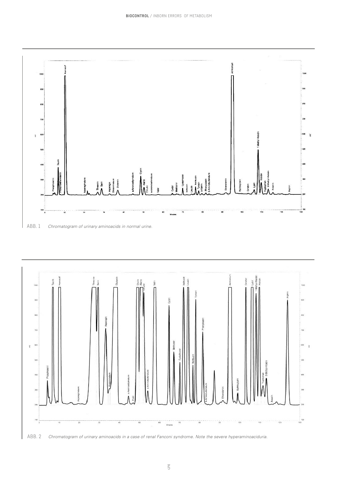

ABB. 1 *Chromatogram of urinary aminoacids in normal urine.*



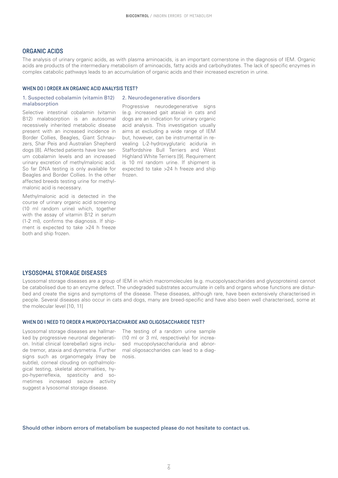#### ORGANIC ACIDS

The analysis of urinary organic acids, as with plasma aminoacids, is an important cornerstone in the diagnosis of IEM. Organic acids are products of the intermediary metabolism of aminoacids, fatty acids and carbohydrates. The lack of specific enzymes in complex catabolic pathways leads to an accumulation of organic acids and their increased excretion in urine.

#### WHEN DO I ORDER AN ORGANIC ACID ANALYSIS TEST?

#### 2. Neurodegenerative disorders 1. Suspected cobalamin (vitamin B12) malabsorption

Selective intestinal cobalamin (vitamin B12) malabsorption is an autosomal recessively inherited metabolic disease present with an increased incidence in Border Collies, Beagles, Giant Schnauzers, Shar Peis and Australian Shepherd dogs [8]. Affected patients have low serum cobalamin levels and an increased urinary excretion of methylmalonic acid. So far DNA testing is only available for Beagles and Border Collies. In the other affected breeds testing urine for methylmalonic acid is necessary.

Methylmalonic acid is detected in the course of urinary organic acid screening (10 ml random urine) which, together with the assay of vitamin B12 in serum (1-2 ml), confirms the diagnosis. If shipment is expected to take >24 h freeze both and ship frozen.

Progressive neurodegenerative signs (e.g. increased gait ataxia) in cats and dogs are an indication for urinary organic acid analysis. This investigation usually aims at excluding a wide range of IEM but, however, can be instrumental in revealing L-2-hydroxyglutaric aciduria in Staffordshire Bull Terriers and West Highland White Terriers [9]. Requirement is 10 ml random urine. If shipment is expected to take >24 h freeze and ship frozen.

#### LYSOSOMAL STORAGE DISEASES

Lysosomal storage diseases are a group of IEM in which macromolecules (e.g. mucopolysaccharides and glycoproteins) cannot be catabolised due to an enzyme defect. The undegraded substrates accumulate in cells and organs whose functions are disturbed and create the signs and symptoms of the disease. These diseases, although rare, have been extensively characterised in people. Several diseases also occur in cats and dogs, many are breed-specific and have also been well characterised, some at the molecular level [10, 11]

#### WHEN DO I NEED TO ORDER A MUKOPOLYSACCHARIDE AND OLIGOSACCHARIDE TEST?

Lysosomal storage diseases are hallmarked by progressive neuronal degeneration. Initial clinical (cerebellar) signs include tremor, ataxia and dysmetria. Further signs such as organomegaly (may be subtle), corneal clouding on opthalmological testing, skeletal abnormalities, hypo-hyperreflexia, spasticity and sometimes increased seizure activity suggest a lysosomal storage disease.

The testing of a random urine sample (10 ml or 3 ml, respectively) for increased mucopolysacchariduria and abnormal oligosaccharides can lead to a diagnosis.

Should other inborn errors of metabolism be suspected please do not hesitate to contact us.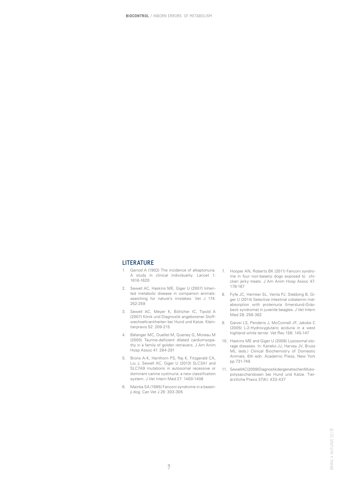#### LITERATURE

- 1. Garrod A (1902) The incidence of alkaptonuria. A study in clinical individuality. Lancet 1: 1616-1620
- 2. Sewell AC, Haskins ME, Giger U (2007) Inherited metabolic disease in companion animals: searching for nature's mistakes. Vet J 174: 252-259
- 3. Sewell AC, Meyer K, Böttcher IC, Tipold A (2007) Klinik und Diagnostik angeborener Stoffwechselkrankheiten bei Hund und Katze. Kleintierpraxis 52: 209-215
- 4. Bélanger MC, Ouellet M, Queney G, Moreau M (2005) Taurine-deficient dilated cardiomyopathy in a family of golden retrievers. J Am Anim Hosp Assoc 41: 284-291
- 5. Brons A-K, Henthorn PS, Raj K, Fitzgerald CA, Liu J, Sewell AC, Giger U (2013) SLC3A1 and SLC7A9 mutations in autosomal recessive or dominant canine cystinuria: a new classification system. J Vet Intern Med 27: 1400-1408
- 6. Mainka SA (1985) Fanconi syndrome in a basenji dog. Can Vet J 26: 303-305
- 7. Hooper AN, Roberts BK (2011) Fanconi syndrome in four non-basenji dogs exposed to chicken jerky treats. J Am Anim Hosp Assoc 47: 178-187
- 8. Fyfe JC, Hemker SL, Venta PJ, Stebbing B, Giger U (2014) Selective intestinal cobalamin malabsorption with proteinuria (Imerslund-Gräsbeck syndrome) in juvenile beagles. J Vet Intern Med 28: 256-362
- 9. Garosi LS, Penderis J, McConnell JF, Jakobs C (2005) L-2-Hydroxyglutaric aciduria in a west highland white terrier. Vet Rec 156: 145-147
- 10. Haskins ME and Giger U (2008) Lysosomal storage diseases. In: Kaneko JJ, Harvey JV, Bruss ML (eds.) Clinical Biochemistry of Domestic Animals, 6th edn. Academic Press, New York pp 731-749
- 11. SewellAC(2009) Diagnostik der genetischen Mukopolysaccharidosen bei Hund und Katze. Tierärztliche Praxis 37(K): 433-437